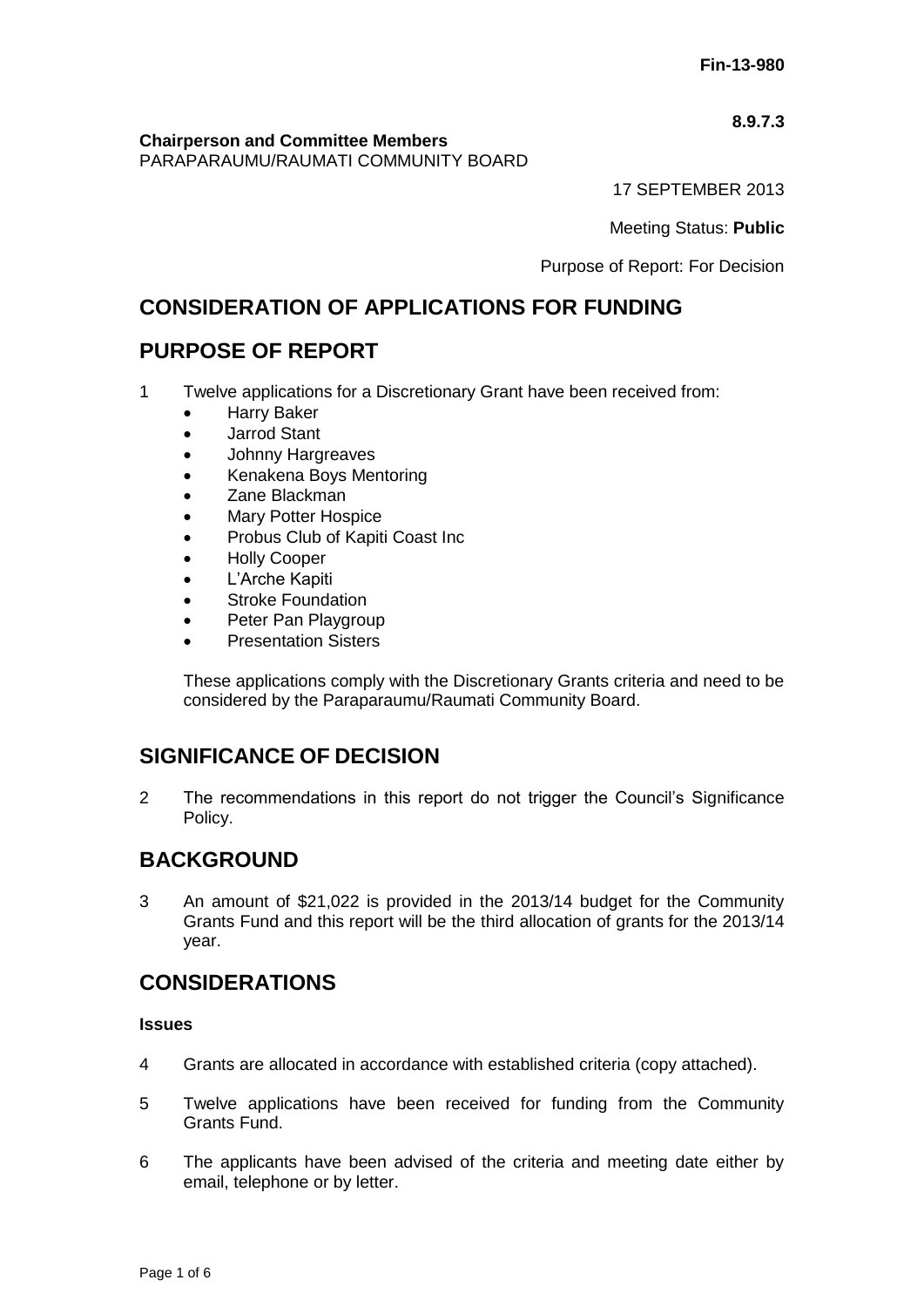### **8.9.7.3**

**Chairperson and Committee Members** PARAPARAUMU/RAUMATI COMMUNITY BOARD

17 SEPTEMBER 2013

Meeting Status: **Public**

Purpose of Report: For Decision

# **CONSIDERATION OF APPLICATIONS FOR FUNDING**

## **PURPOSE OF REPORT**

- 1 Twelve applications for a Discretionary Grant have been received from:
	- Harry Baker
	- Jarrod Stant
	- Johnny Hargreaves
	- Kenakena Boys Mentoring
	- Zane Blackman
	- Mary Potter Hospice
	- Probus Club of Kapiti Coast Inc
	- Holly Cooper
	- L'Arche Kapiti
	- Stroke Foundation
	- Peter Pan Playgroup
	- Presentation Sisters

These applications comply with the Discretionary Grants criteria and need to be considered by the Paraparaumu/Raumati Community Board.

# **SIGNIFICANCE OF DECISION**

2 The recommendations in this report do not trigger the Council's Significance Policy.

## **BACKGROUND**

3 An amount of \$21,022 is provided in the 2013/14 budget for the Community Grants Fund and this report will be the third allocation of grants for the 2013/14 year.

## **CONSIDERATIONS**

#### **Issues**

- 4 Grants are allocated in accordance with established criteria (copy attached).
- 5 Twelve applications have been received for funding from the Community Grants Fund.
- 6 The applicants have been advised of the criteria and meeting date either by email, telephone or by letter.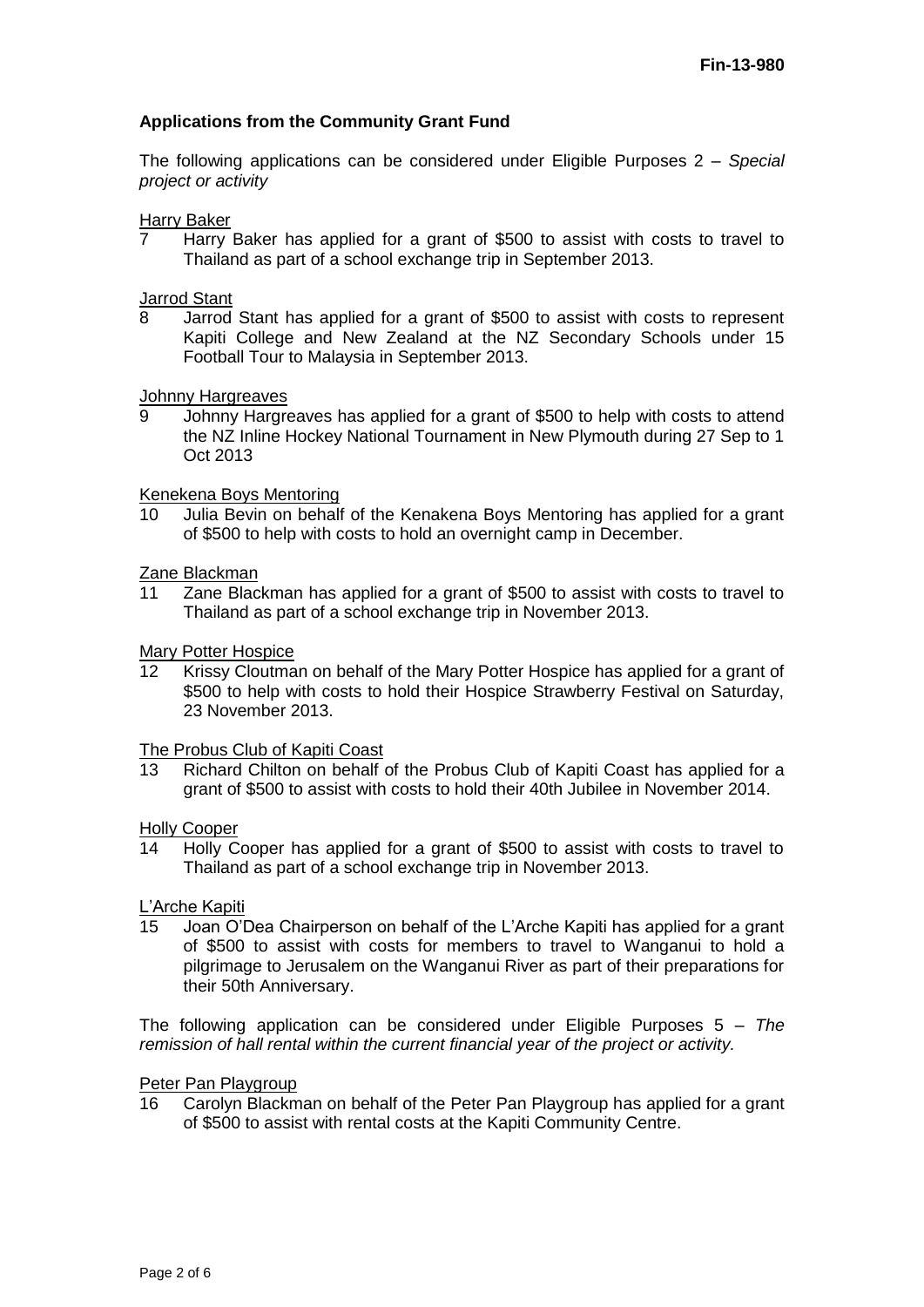## **Applications from the Community Grant Fund**

The following applications can be considered under Eligible Purposes 2 *– Special project or activity*

#### Harry Baker

7 Harry Baker has applied for a grant of \$500 to assist with costs to travel to Thailand as part of a school exchange trip in September 2013.

Jarrod Stant

8 Jarrod Stant has applied for a grant of \$500 to assist with costs to represent Kapiti College and New Zealand at the NZ Secondary Schools under 15 Football Tour to Malaysia in September 2013.

Johnny Hargreaves

9 Johnny Hargreaves has applied for a grant of \$500 to help with costs to attend the NZ Inline Hockey National Tournament in New Plymouth during 27 Sep to 1 Oct 2013

#### Kenekena Boys Mentoring

10 Julia Bevin on behalf of the Kenakena Boys Mentoring has applied for a grant of \$500 to help with costs to hold an overnight camp in December.

### Zane Blackman

11 Zane Blackman has applied for a grant of \$500 to assist with costs to travel to Thailand as part of a school exchange trip in November 2013.

Mary Potter Hospice

12 Krissy Cloutman on behalf of the Mary Potter Hospice has applied for a grant of \$500 to help with costs to hold their Hospice Strawberry Festival on Saturday, 23 November 2013.

#### The Probus Club of Kapiti Coast

13 Richard Chilton on behalf of the Probus Club of Kapiti Coast has applied for a grant of \$500 to assist with costs to hold their 40th Jubilee in November 2014.

#### Holly Cooper

14 Holly Cooper has applied for a grant of \$500 to assist with costs to travel to Thailand as part of a school exchange trip in November 2013.

#### L'Arche Kapiti

15 Joan O'Dea Chairperson on behalf of the L'Arche Kapiti has applied for a grant of \$500 to assist with costs for members to travel to Wanganui to hold a pilgrimage to Jerusalem on the Wanganui River as part of their preparations for their 50th Anniversary.

The following application can be considered under Eligible Purposes 5 *– The remission of hall rental within the current financial year of the project or activity.*

#### Peter Pan Playgroup

16 Carolyn Blackman on behalf of the Peter Pan Playgroup has applied for a grant of \$500 to assist with rental costs at the Kapiti Community Centre.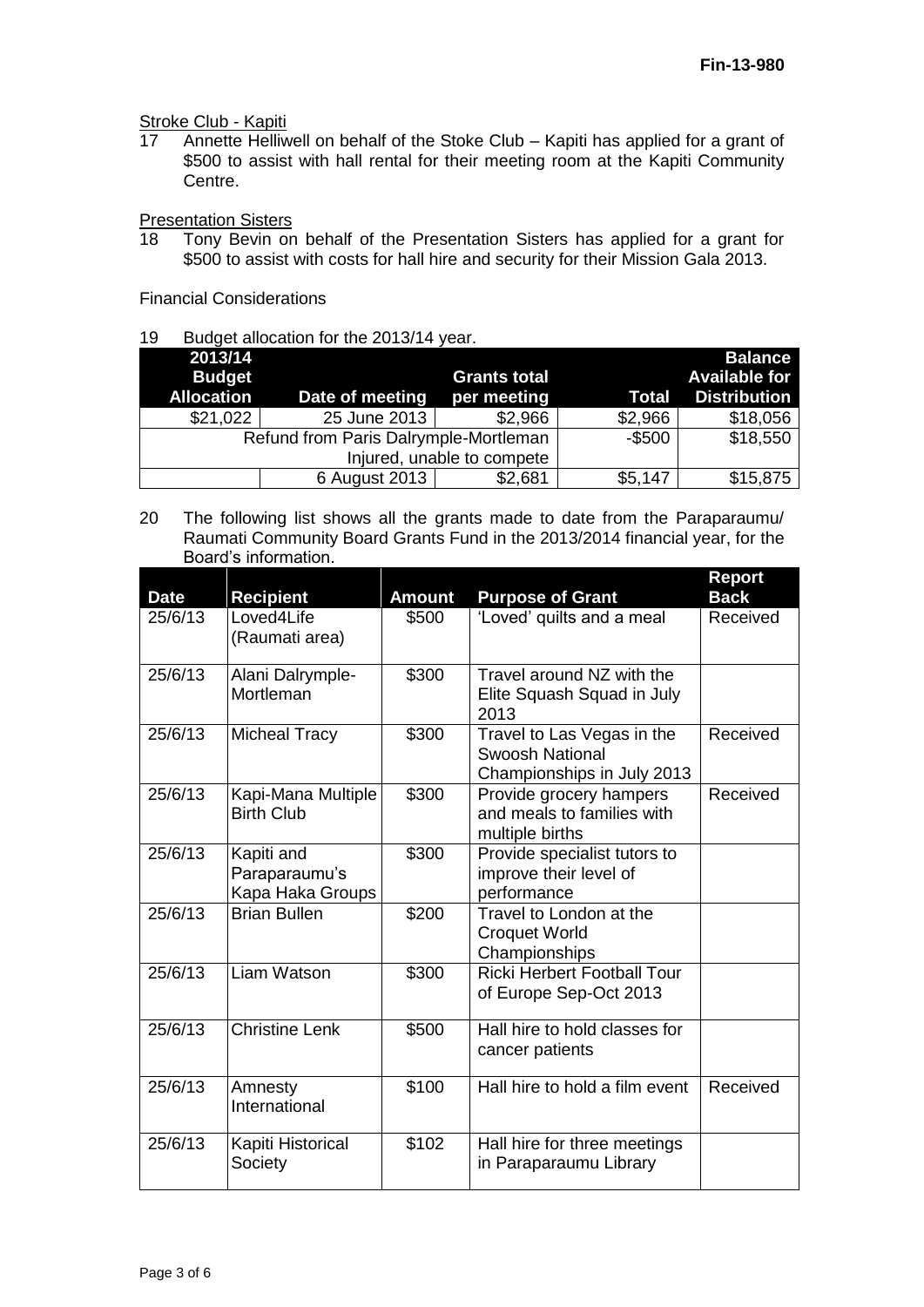Stroke Club - Kapiti<br>17 Annette Helliw

Annette Helliwell on behalf of the Stoke Club – Kapiti has applied for a grant of \$500 to assist with hall rental for their meeting room at the Kapiti Community Centre.

Presentation Sisters

18 Tony Bevin on behalf of the Presentation Sisters has applied for a grant for \$500 to assist with costs for hall hire and security for their Mission Gala 2013.

Financial Considerations

#### 19 Budget allocation for the 2013/14 year.

| 2013/14           |                                       |                     |          | <b>Balance</b>       |
|-------------------|---------------------------------------|---------------------|----------|----------------------|
| <b>Budget</b>     |                                       | <b>Grants total</b> |          | <b>Available for</b> |
| <b>Allocation</b> | Date of meeting                       | per meeting         | Total    | <b>Distribution</b>  |
| \$21,022          | 25 June 2013                          | \$2,966             | \$2,966  | \$18,056             |
|                   | Refund from Paris Dalrymple-Mortleman | $-$ \$500           | \$18,550 |                      |
|                   | Injured, unable to compete            |                     |          |                      |
|                   | 6 August 2013                         | \$2,681             | \$5,147  | \$15,875             |

#### 20 The following list shows all the grants made to date from the Paraparaumu/ Raumati Community Board Grants Fund in the 2013/2014 financial year, for the Board's information.

| <b>Date</b> | <b>Recipient</b>                                | <b>Amount</b> | <b>Purpose of Grant</b>                                                            | <b>Report</b><br><b>Back</b> |
|-------------|-------------------------------------------------|---------------|------------------------------------------------------------------------------------|------------------------------|
| 25/6/13     | Loved4Life<br>(Raumati area)                    | \$500         | 'Loved' quilts and a meal                                                          | Received                     |
| 25/6/13     | Alani Dalrymple-<br>Mortleman                   | \$300         | Travel around NZ with the<br>Elite Squash Squad in July<br>2013                    |                              |
| 25/6/13     | <b>Micheal Tracy</b>                            | \$300         | Travel to Las Vegas in the<br><b>Swoosh National</b><br>Championships in July 2013 | Received                     |
| 25/6/13     | Kapi-Mana Multiple<br><b>Birth Club</b>         | \$300         | Provide grocery hampers<br>and meals to families with<br>multiple births           | Received                     |
| 25/6/13     | Kapiti and<br>Paraparaumu's<br>Kapa Haka Groups | \$300         | Provide specialist tutors to<br>improve their level of<br>performance              |                              |
| 25/6/13     | <b>Brian Bullen</b>                             | \$200         | Travel to London at the<br><b>Croquet World</b><br>Championships                   |                              |
| 25/6/13     | Liam Watson                                     | \$300         | <b>Ricki Herbert Football Tour</b><br>of Europe Sep-Oct 2013                       |                              |
| 25/6/13     | <b>Christine Lenk</b>                           | \$500         | Hall hire to hold classes for<br>cancer patients                                   |                              |
| 25/6/13     | Amnesty<br>International                        | \$100         | Hall hire to hold a film event                                                     | Received                     |
| 25/6/13     | Kapiti Historical<br>Society                    | \$102         | Hall hire for three meetings<br>in Paraparaumu Library                             |                              |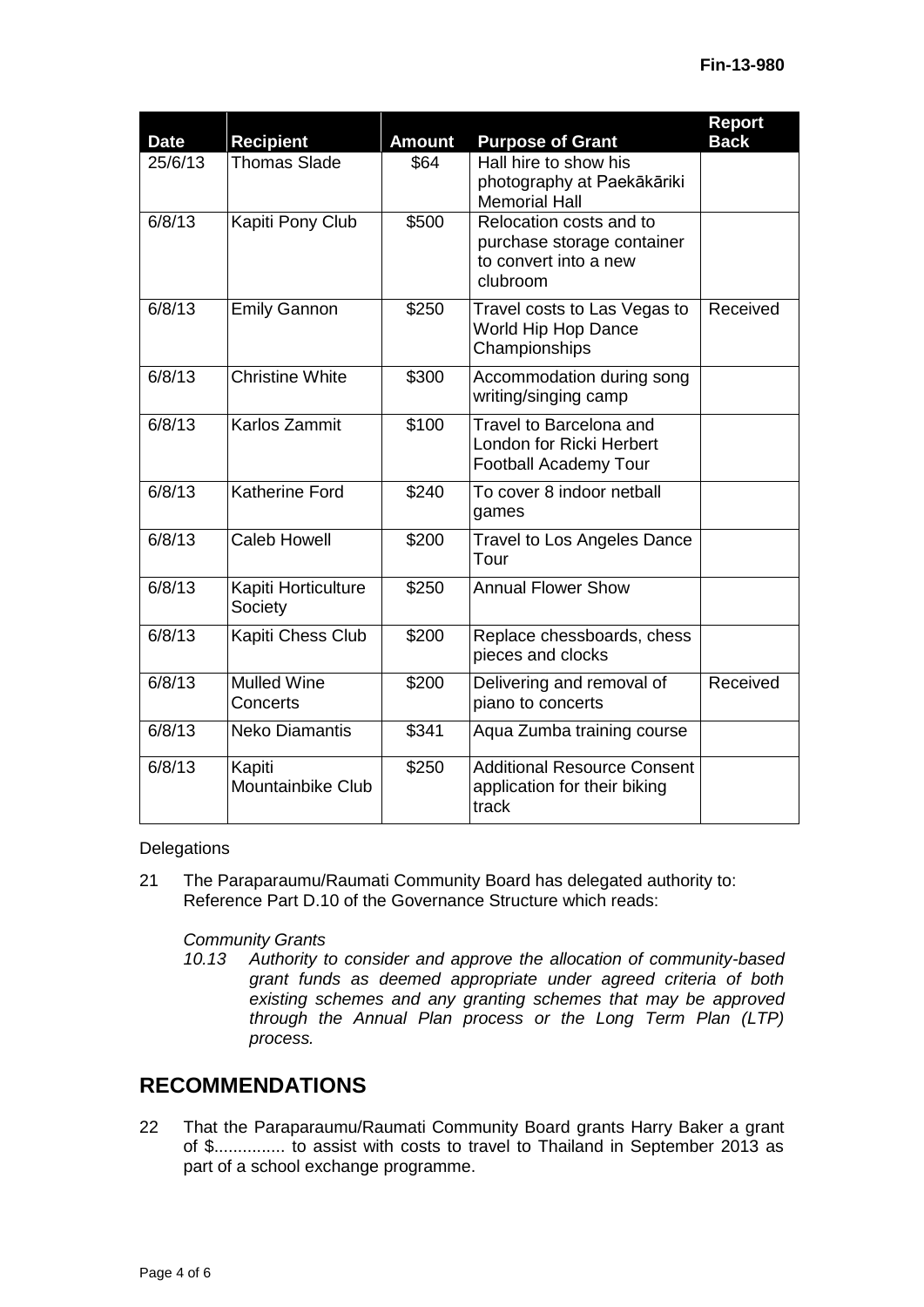|             |                                |               |                                                                                            | <b>Report</b> |
|-------------|--------------------------------|---------------|--------------------------------------------------------------------------------------------|---------------|
| <b>Date</b> | <b>Recipient</b>               | <b>Amount</b> | <b>Purpose of Grant</b>                                                                    | <b>Back</b>   |
| 25/6/13     | <b>Thomas Slade</b>            | \$64          | Hall hire to show his<br>photography at Paekākāriki<br><b>Memorial Hall</b>                |               |
| 6/8/13      | Kapiti Pony Club               | \$500         | Relocation costs and to<br>purchase storage container<br>to convert into a new<br>clubroom |               |
| 6/8/13      | <b>Emily Gannon</b>            | \$250         | Travel costs to Las Vegas to<br><b>World Hip Hop Dance</b><br>Championships                | Received      |
| 6/8/13      | <b>Christine White</b>         | \$300         | Accommodation during song<br>writing/singing camp                                          |               |
| 6/8/13      | Karlos Zammit                  | \$100         | Travel to Barcelona and<br>London for Ricki Herbert<br><b>Football Academy Tour</b>        |               |
| 6/8/13      | <b>Katherine Ford</b>          | \$240         | To cover 8 indoor netball<br>games                                                         |               |
| 6/8/13      | <b>Caleb Howell</b>            | \$200         | <b>Travel to Los Angeles Dance</b><br>Tour                                                 |               |
| 6/8/13      | Kapiti Horticulture<br>Society | \$250         | Annual Flower Show                                                                         |               |
| 6/8/13      | Kapiti Chess Club              | \$200         | Replace chessboards, chess<br>pieces and clocks                                            |               |
| 6/8/13      | <b>Mulled Wine</b><br>Concerts | \$200         | Delivering and removal of<br>piano to concerts                                             | Received      |
| 6/8/13      | <b>Neko Diamantis</b>          | \$341         | Aqua Zumba training course                                                                 |               |
| 6/8/13      | Kapiti<br>Mountainbike Club    | \$250         | <b>Additional Resource Consent</b><br>application for their biking<br>track                |               |

#### **Delegations**

21 The Paraparaumu/Raumati Community Board has delegated authority to: Reference Part D.10 of the Governance Structure which reads:

#### *Community Grants*

*10.13 Authority to consider and approve the allocation of community-based grant funds as deemed appropriate under agreed criteria of both existing schemes and any granting schemes that may be approved through the Annual Plan process or the Long Term Plan (LTP) process.*

## **RECOMMENDATIONS**

22 That the Paraparaumu/Raumati Community Board grants Harry Baker a grant of \$............... to assist with costs to travel to Thailand in September 2013 as part of a school exchange programme.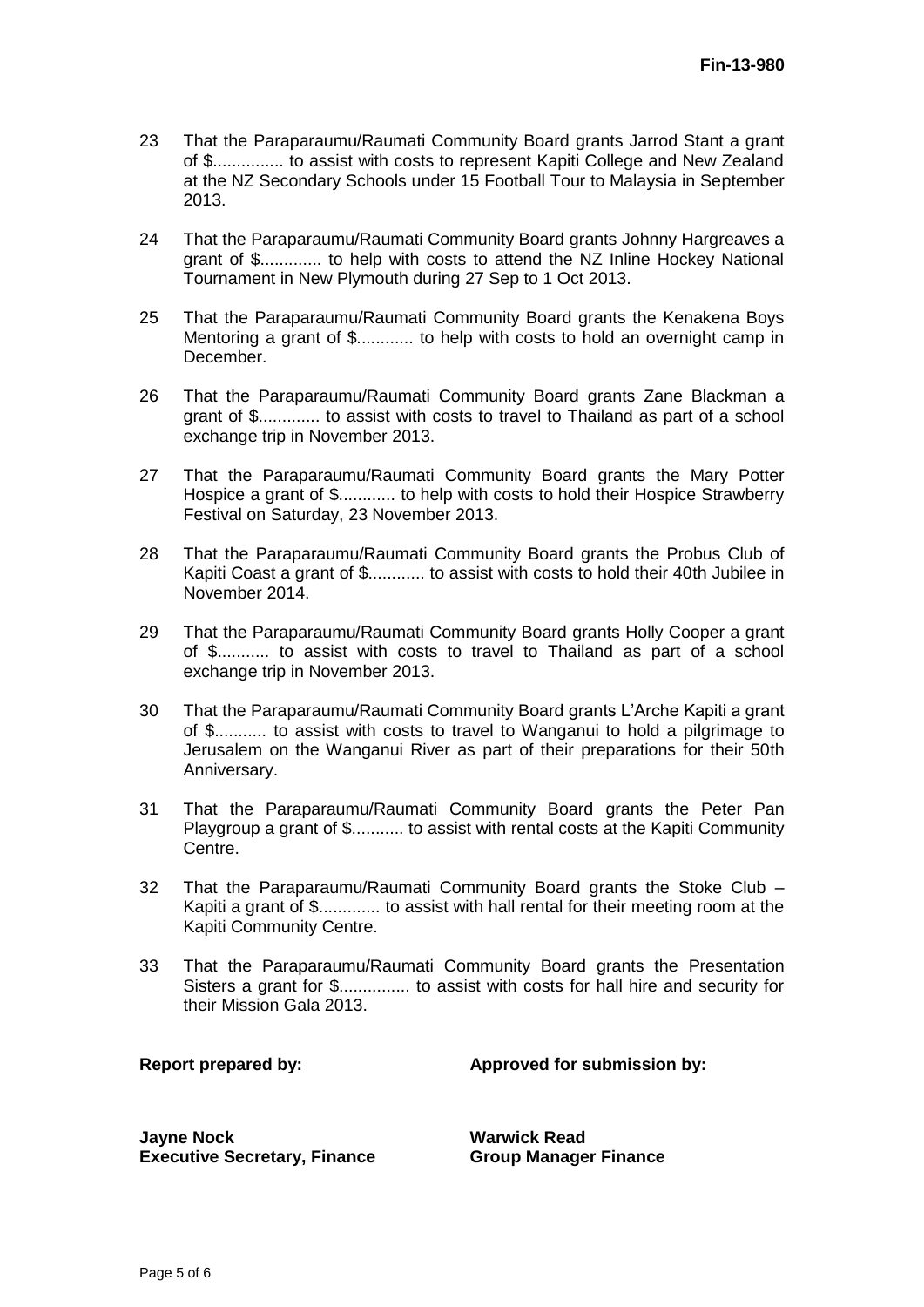- 23 That the Paraparaumu/Raumati Community Board grants Jarrod Stant a grant of \$............... to assist with costs to represent Kapiti College and New Zealand at the NZ Secondary Schools under 15 Football Tour to Malaysia in September 2013.
- 24 That the Paraparaumu/Raumati Community Board grants Johnny Hargreaves a grant of \$............. to help with costs to attend the NZ Inline Hockey National Tournament in New Plymouth during 27 Sep to 1 Oct 2013.
- 25 That the Paraparaumu/Raumati Community Board grants the Kenakena Boys Mentoring a grant of \$............ to help with costs to hold an overnight camp in December.
- 26 That the Paraparaumu/Raumati Community Board grants Zane Blackman a grant of \$............. to assist with costs to travel to Thailand as part of a school exchange trip in November 2013.
- 27 That the Paraparaumu/Raumati Community Board grants the Mary Potter Hospice a grant of \$............ to help with costs to hold their Hospice Strawberry Festival on Saturday, 23 November 2013.
- 28 That the Paraparaumu/Raumati Community Board grants the Probus Club of Kapiti Coast a grant of \$............ to assist with costs to hold their 40th Jubilee in November 2014.
- 29 That the Paraparaumu/Raumati Community Board grants Holly Cooper a grant of \$........... to assist with costs to travel to Thailand as part of a school exchange trip in November 2013.
- 30 That the Paraparaumu/Raumati Community Board grants L'Arche Kapiti a grant of \$........... to assist with costs to travel to Wanganui to hold a pilgrimage to Jerusalem on the Wanganui River as part of their preparations for their 50th Anniversary.
- 31 That the Paraparaumu/Raumati Community Board grants the Peter Pan Playgroup a grant of \$........... to assist with rental costs at the Kapiti Community Centre.
- 32 That the Paraparaumu/Raumati Community Board grants the Stoke Club Kapiti a grant of \$............. to assist with hall rental for their meeting room at the Kapiti Community Centre.
- 33 That the Paraparaumu/Raumati Community Board grants the Presentation Sisters a grant for \$............... to assist with costs for hall hire and security for their Mission Gala 2013.

**Report prepared by: Approved for submission by:**

**Jayne Nock Warwick Read Executive Secretary, Finance Group Manager Finance**